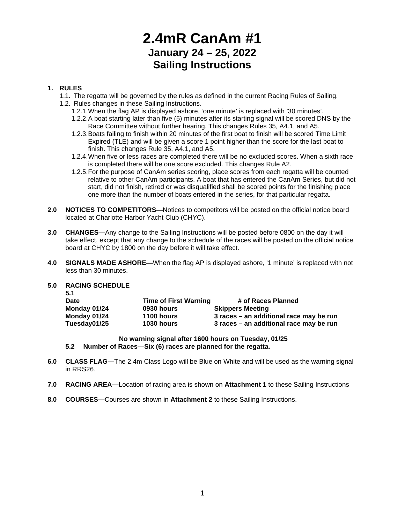# **2.4mR CanAm #1 January 24 – 25, 2022 Sailing Instructions**

#### **1. RULES**

- 1.1. The regatta will be governed by the rules as defined in the current Racing Rules of Sailing.
- 1.2. Rules changes in these Sailing Instructions.
	- 1.2.1.When the flag AP is displayed ashore, 'one minute' is replaced with '30 minutes'.
	- 1.2.2.A boat starting later than five (5) minutes after its starting signal will be scored DNS by the Race Committee without further hearing. This changes Rules 35, A4.1, and A5.
	- 1.2.3.Boats failing to finish within 20 minutes of the first boat to finish will be scored Time Limit Expired (TLE) and will be given a score 1 point higher than the score for the last boat to finish. This changes Rule 35, A4.1, and A5.
	- 1.2.4.When five or less races are completed there will be no excluded scores. When a sixth race is completed there will be one score excluded. This changes Rule A2.
	- 1.2.5.For the purpose of CanAm series scoring, place scores from each regatta will be counted relative to other CanAm participants. A boat that has entered the CanAm Series, but did not start, did not finish, retired or was disqualified shall be scored points for the finishing place one more than the number of boats entered in the series, for that particular regatta.
- **2.0 NOTICES TO COMPETITORS—**Notices to competitors will be posted on the official notice board located at Charlotte Harbor Yacht Club (CHYC).
- **3.0 CHANGES—**Any change to the Sailing Instructions will be posted before 0800 on the day it will take effect, except that any change to the schedule of the races will be posted on the official notice board at CHYC by 1800 on the day before it will take effect.
- **4.0 SIGNALS MADE ASHORE—**When the flag AP is displayed ashore, '1 minute' is replaced with not less than 30 minutes.

#### **5.0 RACING SCHEDULE 5.1**

| ◡.           |                              |                                         |
|--------------|------------------------------|-----------------------------------------|
| Date         | <b>Time of First Warning</b> | # of Races Planned                      |
| Monday 01/24 | 0930 hours                   | <b>Skippers Meeting</b>                 |
| Monday 01/24 | 1100 hours                   | 3 races - an additional race may be run |
| Tuesday01/25 | 1030 hours                   | 3 races – an additional race may be run |
|              |                              |                                         |

**No warning signal after 1600 hours on Tuesday, 01/25**

**5.2 Number of Races—Six (6) races are planned for the regatta.**

- **6.0 CLASS FLAG—**The 2.4m Class Logo will be Blue on White and will be used as the warning signal in RRS26.
- **7.0 RACING AREA—**Location of racing area is shown on **Attachment 1** to these Sailing Instructions
- **8.0 COURSES—**Courses are shown in **Attachment 2** to these Sailing Instructions.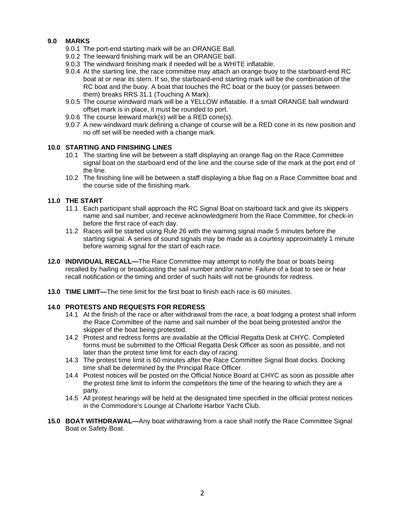#### **9.0 MARKS**

- 9.0.1 The port-end starting mark will be an ORANGE Ball.
- 9.0.2 The leeward finishing mark will be an ORANGE ball.
- 9.0.3 The windward finishing mark if needed will be a WHITE inflatable.
- 9.0.4 At the starting line, the race committee may attach an orange buoy to the starboard-end RC boat at or near its stern. If so, the starboard-end starting mark will be the combination of the RC boat and the buoy. A boat that touches the RC boat or the buoy (or passes between them) breaks RRS 31.1 (Touching A Mark).
- 9.0.5 The course windward mark will be a YELLOW inflatable. If a small ORANGE ball windward offset mark is in place, it must be rounded to port.
- 9.0.6 The course leeward mark(s) will be a RED cone(s).
- 9.0.7 A new windward mark defining a change of course will be a RED cone in its new position and no off set will be needed with a change mark.

#### **10.0 STARTING AND FINISHING LINES**

- 10.1 The starting line will be between a staff displaying an orange flag on the Race Committee signal boat on the starboard end of the line and the course side of the mark at the port end of the line.
- 10.2 The finishing line will be between a staff displaying a blue flag on a Race Committee boat and the course side of the finishing mark.

#### **11.0 THE START**

- 11.1 Each participant shall approach the RC Signal Boat on starboard tack and give its skippers name and sail number, and receive acknowledgment from the Race Committee, for check-in before the first race of each day.
- 11.2 Races will be started using Rule 26 with the warning signal made 5 minutes before the starting signal. A series of sound signals may be made as a courtesy approximately 1 minute before warning signal for the start of each race.
- **12.0 INDIVIDUAL RECALL—**The Race Committee may attempt to notify the boat or boats being recalled by hailing or broadcasting the sail number and/or name. Failure of a boat to see or hear recall notification or the timing and order of such hails will not be grounds for redress.
- **13.0 TIME LIMIT—**The time limit for the first boat to finish each race is 60 minutes.

#### **14.0 PROTESTS AND REQUESTS FOR REDRESS**

- 14.1 At the finish of the race or after withdrawal from the race, a boat lodging a protest shall inform the Race Committee of the name and sail number of the boat being protested and/or the skipper of the boat being protested.
- 14.2 Protest and redress forms are available at the Official Regatta Desk at CHYC. Completed forms must be submitted to the Official Regatta Desk Officer as soon as possible, and not later than the protest time limit for each day of racing.
- 14.3 The protest time limit is 60 minutes after the Race Committee Signal Boat docks. Docking time shall be determined by the Principal Race Officer.
- 14.4 Protest notices will be posted on the Official Notice Board at CHYC as soon as possible after the protest time limit to inform the competitors the time of the hearing to which they are a party.
- 14.5 All protest hearings will be held at the designated time specified in the official protest notices in the Commodore's Lounge at Charlotte Harbor Yacht Club.
- **15.0 BOAT WITHDRAWAL—**Any boat withdrawing from a race shall notify the Race Committee Signal Boat or Safety Boat.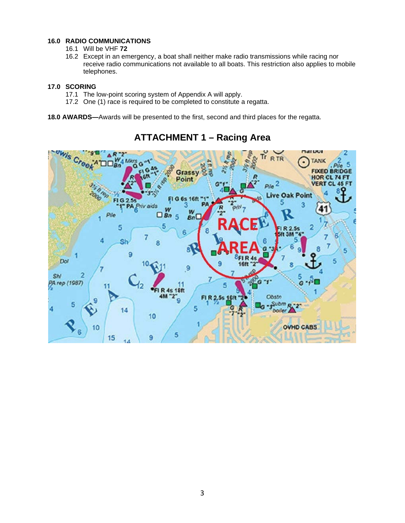#### **16.0 RADIO COMMUNICATIONS**

- 16.1 Will be VHF **72**
- 16.2 Except in an emergency, a boat shall neither make radio transmissions while racing nor receive radio communications not available to all boats. This restriction also applies to mobile telephones.

#### **17.0 SCORING**

- 17.1 The low-point scoring system of Appendix A will apply.
- 17.2 One (1) race is required to be completed to constitute a regatta.

**18.0 AWARDS—**Awards will be presented to the first, second and third places for the regatta.



### **ATTACHMENT 1 – Racing Area**